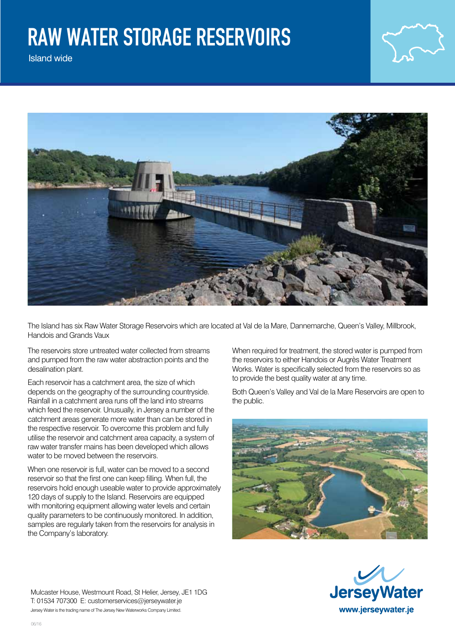## raw water storage reservoirs

Island wide



The Island has six Raw Water Storage Reservoirs which are located at Val de la Mare, Dannemarche, Queen's Valley, Millbrook, Handois and Grands Vaux

The reservoirs store untreated water collected from streams and pumped from the raw water abstraction points and the desalination plant.

Each reservoir has a catchment area, the size of which depends on the geography of the surrounding countryside. Rainfall in a catchment area runs off the land into streams which feed the reservoir. Unusually, in Jersey a number of the catchment areas generate more water than can be stored in the respective reservoir. To overcome this problem and fully utilise the reservoir and catchment area capacity, a system of raw water transfer mains has been developed which allows water to be moved between the reservoirs.

When one reservoir is full, water can be moved to a second reservoir so that the first one can keep filling. When full, the reservoirs hold enough useable water to provide approximately 120 days of supply to the Island. Reservoirs are equipped with monitoring equipment allowing water levels and certain quality parameters to be continuously monitored. In addition, samples are regularly taken from the reservoirs for analysis in the Company's laboratory.

When required for treatment, the stored water is pumped from the reservoirs to either Handois or Augrès Water Treatment Works. Water is specifically selected from the reservoirs so as to provide the best quality water at any time.

Both Queen's Valley and Val de la Mare Reservoirs are open to the public.





Mulcaster House, Westmount Road, St Helier, Jersey, JE1 1DG T: 01534 707300 E: customerservices@jerseywater.je Jersey Water is the trading name of The Jersey New Waterworks Company Limited.